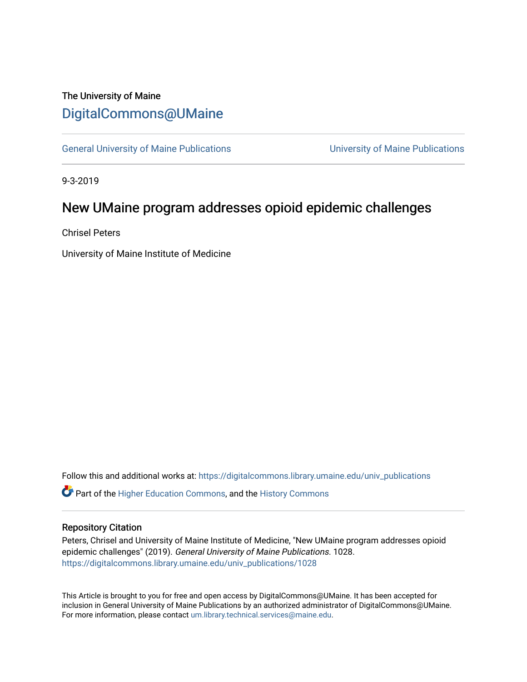## The University of Maine [DigitalCommons@UMaine](https://digitalcommons.library.umaine.edu/)

[General University of Maine Publications](https://digitalcommons.library.umaine.edu/univ_publications) [University of Maine Publications](https://digitalcommons.library.umaine.edu/umaine_publications) 

9-3-2019

## New UMaine program addresses opioid epidemic challenges

Chrisel Peters

University of Maine Institute of Medicine

Follow this and additional works at: [https://digitalcommons.library.umaine.edu/univ\\_publications](https://digitalcommons.library.umaine.edu/univ_publications?utm_source=digitalcommons.library.umaine.edu%2Funiv_publications%2F1028&utm_medium=PDF&utm_campaign=PDFCoverPages) 

**C** Part of the [Higher Education Commons,](http://network.bepress.com/hgg/discipline/1245?utm_source=digitalcommons.library.umaine.edu%2Funiv_publications%2F1028&utm_medium=PDF&utm_campaign=PDFCoverPages) and the [History Commons](http://network.bepress.com/hgg/discipline/489?utm_source=digitalcommons.library.umaine.edu%2Funiv_publications%2F1028&utm_medium=PDF&utm_campaign=PDFCoverPages)

#### Repository Citation

Peters, Chrisel and University of Maine Institute of Medicine, "New UMaine program addresses opioid epidemic challenges" (2019). General University of Maine Publications. 1028. [https://digitalcommons.library.umaine.edu/univ\\_publications/1028](https://digitalcommons.library.umaine.edu/univ_publications/1028?utm_source=digitalcommons.library.umaine.edu%2Funiv_publications%2F1028&utm_medium=PDF&utm_campaign=PDFCoverPages)

This Article is brought to you for free and open access by DigitalCommons@UMaine. It has been accepted for inclusion in General University of Maine Publications by an authorized administrator of DigitalCommons@UMaine. For more information, please contact [um.library.technical.services@maine.edu](mailto:um.library.technical.services@maine.edu).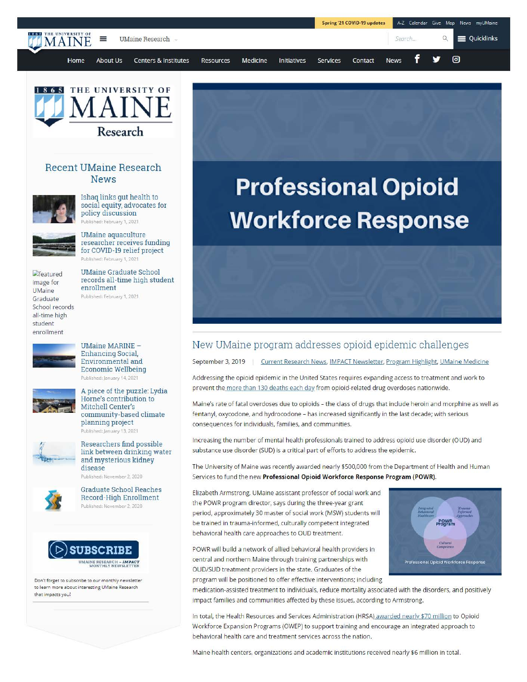|                                                  |                      |                                 |           |          | Spring '21 COVID-19 updates |          | A-Z Calendar Give Map News myUMaine |             |  |   |                                  |
|--------------------------------------------------|----------------------|---------------------------------|-----------|----------|-----------------------------|----------|-------------------------------------|-------------|--|---|----------------------------------|
| <b>IS 625 THE UNIVERSITY OF</b><br><b>TMAINE</b> | UMaine Research<br>⋿ |                                 |           |          |                             |          |                                     | Search      |  |   | $\mathbb{Q}$ $\equiv$ Quicklinks |
| Home                                             | About Us             | <b>Centers &amp; Institutes</b> | Resources | Medicine | <b>Initiatives</b>          | Services | Contact                             | <b>News</b> |  | У | ⊙                                |



#### Recent UMaine Research News



Ishaq links gut health to social equity, advocates for policy discussion Published: February 1, 2021



UMaine aquaculture researcher receives funding for COVID-19 relief project Published: February 1, 2021

UMaine Graduate School records all-time high student

 $<sub>et</sub>$  eatured</sub> image for UMaine Graduate School records all-time high student enrollment

enrollment Published: February 1, 2021



UMaine MARINE - Enhancing Social, Environmental and Economic Wellbeing Published: January 14, 2021



A piece of the puzzle: Lydia Horne's contribution to Mitchell Center's community-based climate planning project Published: January 13, 2021

Researchers find possible link between drinking water



and mysterious kidney disease Published: November 2, 2020



Graduate School Reaches Record-High Enrollment Published: November 2, 2020



Don't forget to subscribe to our monthly newsletter to learn more about interesting UMaine Research that impacts you!

# **Professional Opioid Workforce Response**

### New UMaine program addresses opioid epidemic challenges

September 3, 2019 | Current Research News, IMPACT Newsletter, Program Highlight, UMaine Medicine

Addressing the opioid epidemic in the United States requires expanding access to treatment and work to prevent the more than 130 deaths each day from opioid-related drug overdoses nationwide.

Maine's rate of fatal overdoses due to opioids - the class of drugs that include heroin and morphine as well as fentanyl, oxycodone, and hydrocodone - has increased significantly in the last decade; with serious consequences for individuals, families, and communities.

Increasing the number of mental health professionals trained to address opioid use disorder (OUD) and substance use disorder (SUD) is a critical part of efforts to address the epidemic.

The University of Maine was recently awarded nearly \$500,000 from the Department of Health and Human Services to fund the new Professional Opioid Workforce Response Program (POWR).

Elizabeth Armstrong, UMaine assistant professor of social work and the POWR program director, says during the three-year grant period, approximately 30 master of social work (MSW) students will be trained in trauma-informed, culturally competent integrated behavioral health care approaches to OUD treatment.

POWR will build a network of allied behavioral health providers in central and northern Maine through training partnerships with OUD/SUD treatment providers in the state. Graduates of the program will be positioned to offer effective interventions; including



medication-assisted treatment to individuals, reduce mortality associated with the disorders, and positively impact families and communities affected by these issues, according to Armstrong.

In total, the Health Resources and Services Administration (HRSA) awarded nearly \$70 million to Opioid Workforce Expansion Programs (OWEP) to support training and encourage an integrated approach to behavioral health care and treatment services across the nation.

Maine health centers, organizations and academic institutions received nearly \$6 million in total.